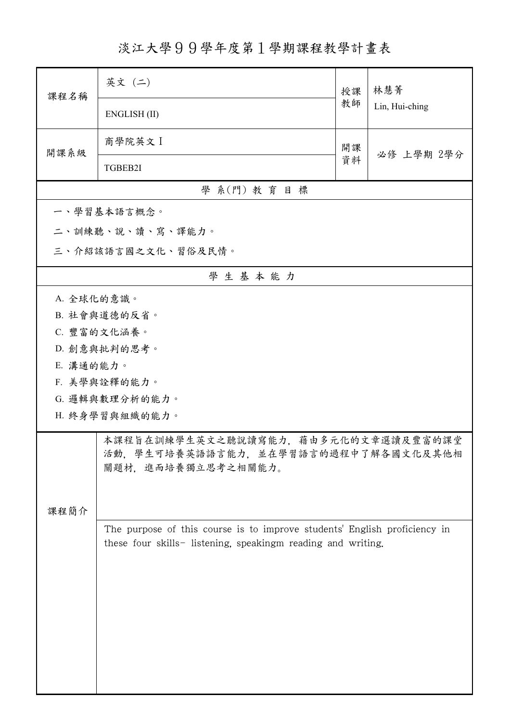淡江大學99學年度第1學期課程教學計畫表

| 課程名稱                                                                                                     | 英文 (二)                                                                                                                                    | 授課 | 林慧菁<br>Lin, Hui-ching |  |  |  |
|----------------------------------------------------------------------------------------------------------|-------------------------------------------------------------------------------------------------------------------------------------------|----|-----------------------|--|--|--|
|                                                                                                          | ENGLISH (II)                                                                                                                              | 教師 |                       |  |  |  |
| 開課系級                                                                                                     | 商學院英文 I                                                                                                                                   | 開課 | 必修 上學期 2學分            |  |  |  |
|                                                                                                          | TGBEB2I                                                                                                                                   | 資料 |                       |  |  |  |
|                                                                                                          | 學 系(門) 教育目標                                                                                                                               |    |                       |  |  |  |
|                                                                                                          | 一、學習基本語言概念。                                                                                                                               |    |                       |  |  |  |
|                                                                                                          | 二、訓練聽、說、讀、寫、譯能力。                                                                                                                          |    |                       |  |  |  |
|                                                                                                          | 三、介紹該語言國之文化、習俗及民情。                                                                                                                        |    |                       |  |  |  |
|                                                                                                          | 學生基本能力                                                                                                                                    |    |                       |  |  |  |
| A. 全球化的意識。                                                                                               |                                                                                                                                           |    |                       |  |  |  |
|                                                                                                          | B. 社會與道德的反省。                                                                                                                              |    |                       |  |  |  |
|                                                                                                          | C. 豐富的文化涵養。                                                                                                                               |    |                       |  |  |  |
|                                                                                                          | D. 創意與批判的思考。                                                                                                                              |    |                       |  |  |  |
| E. 溝通的能力。                                                                                                |                                                                                                                                           |    |                       |  |  |  |
|                                                                                                          | F. 美學與詮釋的能力。                                                                                                                              |    |                       |  |  |  |
|                                                                                                          | G. 邏輯與數理分析的能力。                                                                                                                            |    |                       |  |  |  |
|                                                                                                          | H. 終身學習與組織的能力。                                                                                                                            |    |                       |  |  |  |
| 本課程旨在訓練學生英文之聽說讀寫能力,藉由多元化的文章選讀及豐富的課堂<br>活動,學生可培養英語語言能力,並在學習語言的過程中了解各國文化及其他相<br>關題材,進而培養獨立思考之相關能力。<br>課程簡介 |                                                                                                                                           |    |                       |  |  |  |
|                                                                                                          | The purpose of this course is to improve students' English proficiency in<br>these four skills- listening, speakingm reading and writing. |    |                       |  |  |  |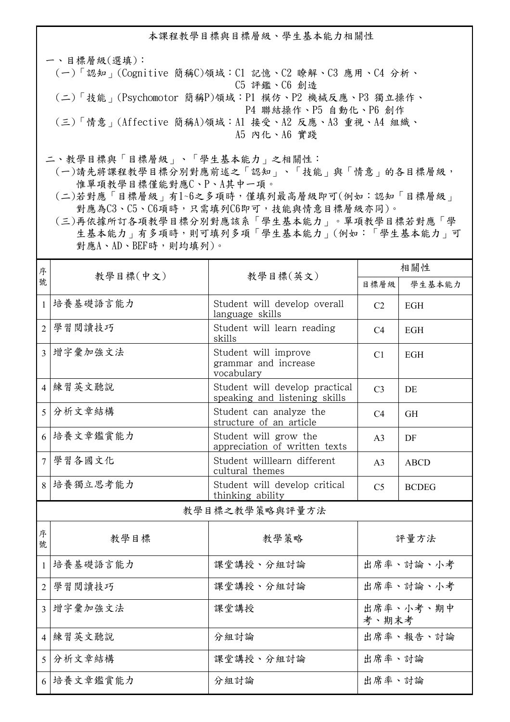本課程教學目標與目標層級、學生基本能力相關性

一、目標層級(選填): (一)「認知」(Cognitive 簡稱C)領域:C1 記憶、C2 瞭解、C3 應用、C4 分析、 C5 評鑑、C6 創造 (二)「技能」(Psychomotor 簡稱P)領域:P1 模仿、P2 機械反應、P3 獨立操作、 P4 聯結操作、P5 自動化、P6 創作 (三)「情意」(Affective 簡稱A)領域:A1 接受、A2 反應、A3 重視、A4 組織、 A5 內化、A6 實踐

二、教學目標與「目標層級」、「學生基本能力」之相關性:

 (一)請先將課程教學目標分別對應前述之「認知」、「技能」與「情意」的各目標層級, 惟單項教學目標僅能對應C、P、A其中一項。

 (二)若對應「目標層級」有1~6之多項時,僅填列最高層級即可(例如:認知「目標層級」 對應為C3、C5、C6項時,只需填列C6即可,技能與情意目標層級亦同)。

 (三)再依據所訂各項教學目標分別對應該系「學生基本能力」。單項教學目標若對應「學 生基本能力」有多項時,則可填列多項「學生基本能力」(例如:「學生基本能力」可 對應A、AD、BEF時,則均填列)。

| 序                       | 教學目標(中文)       |                                                                 | 相關性                |              |  |  |
|-------------------------|----------------|-----------------------------------------------------------------|--------------------|--------------|--|--|
| 號                       |                | 教學目標(英文)                                                        | 目標層級               | 學生基本能力       |  |  |
| $\mathbf{1}$            | 培養基礎語言能力       | Student will develop overall<br>language skills                 | C <sub>2</sub>     | <b>EGH</b>   |  |  |
| $\overline{2}$          | 學習閱讀技巧         | Student will learn reading<br>skills                            | C <sub>4</sub>     | <b>EGH</b>   |  |  |
|                         | 3 增字彙加強文法      | Student will improve<br>grammar and increase<br>vocabulary      | C <sub>1</sub>     | <b>EGH</b>   |  |  |
|                         | 4 練習英文聽說       | Student will develop practical<br>speaking and listening skills | C <sub>3</sub>     | DE           |  |  |
| 5                       | 分析文章結構         | Student can analyze the<br>structure of an article              | C <sub>4</sub>     | <b>GH</b>    |  |  |
| 6                       | 培養文章鑑賞能力       | Student will grow the<br>appreciation of written texts          | A <sub>3</sub>     | DF           |  |  |
| $\overline{7}$          | 學習各國文化         | Student willlearn different<br>cultural themes                  | A <sub>3</sub>     | <b>ABCD</b>  |  |  |
|                         | 8 培養獨立思考能力     | Student will develop critical<br>thinking ability               | C <sub>5</sub>     | <b>BCDEG</b> |  |  |
|                         | 教學目標之教學策略與評量方法 |                                                                 |                    |              |  |  |
| 序<br>號                  | 教學目標           | 教學策略                                                            | 評量方法               |              |  |  |
| $\mathbf{1}$            | 培養基礎語言能力       | 課堂講授、分組討論                                                       | 出席率、討論、小考          |              |  |  |
| $\overline{2}$          | 學習閱讀技巧         | 課堂講授、分組討論                                                       | 出席率、討論、小考          |              |  |  |
| $\overline{\mathbf{3}}$ | 增字彙加強文法        | 課堂講授                                                            | 出席率、小考、期中<br>考、期末考 |              |  |  |
|                         | 4 練習英文聽說       | 分組討論                                                            | 出席率、報告、討論          |              |  |  |
| 5 <sup>5</sup>          | 分析文章結構         | 課堂講授、分組討論                                                       | 出席率、討論             |              |  |  |
|                         | 6 培養文章鑑賞能力     | 分組討論                                                            | 出席率、討論             |              |  |  |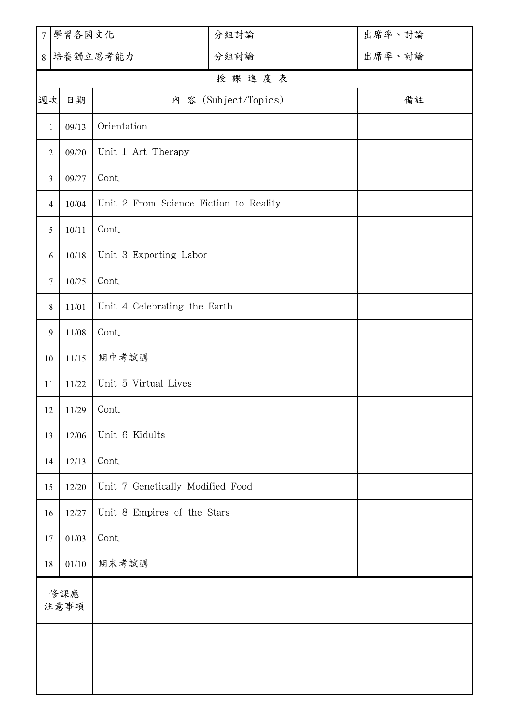| $\overline{7}$ | 學習各國文化                     |                                        | 分組討論  | 出席率、討論 |  |
|----------------|----------------------------|----------------------------------------|-------|--------|--|
| 8              |                            | 培養獨立思考能力<br>分組討論                       |       | 出席率、討論 |  |
|                |                            |                                        | 授課進度表 |        |  |
| 週次             | 內 容 (Subject/Topics)<br>日期 |                                        |       | 備註     |  |
| $\mathbf{1}$   | 09/13                      | Orientation                            |       |        |  |
| $\overline{2}$ | 09/20                      | Unit 1 Art Therapy                     |       |        |  |
| 3              | 09/27                      | Cont.                                  |       |        |  |
| $\overline{4}$ | 10/04                      | Unit 2 From Science Fiction to Reality |       |        |  |
| 5              | 10/11                      | Cont.                                  |       |        |  |
| 6              | 10/18                      | Unit 3 Exporting Labor                 |       |        |  |
| 7              | 10/25                      | Cont.                                  |       |        |  |
| 8              | 11/01                      | Unit 4 Celebrating the Earth           |       |        |  |
| 9              | 11/08                      | Cont.                                  |       |        |  |
| $10\,$         | 11/15                      | 期中考試週                                  |       |        |  |
| 11             | 11/22                      | Unit 5 Virtual Lives                   |       |        |  |
| 12             | $11/29$ Cont.              |                                        |       |        |  |
| 13             | 12/06                      | Unit 6 Kidults                         |       |        |  |
| 14             | 12/13                      | Cont.                                  |       |        |  |
| 15             | 12/20                      | Unit 7 Genetically Modified Food       |       |        |  |
| 16             | 12/27                      | Unit 8 Empires of the Stars            |       |        |  |
| 17             | 01/03                      | Cont.                                  |       |        |  |
| 18             | 01/10                      | 期末考試週                                  |       |        |  |
| 修課應<br>注意事項    |                            |                                        |       |        |  |
|                |                            |                                        |       |        |  |
|                |                            |                                        |       |        |  |
|                |                            |                                        |       |        |  |